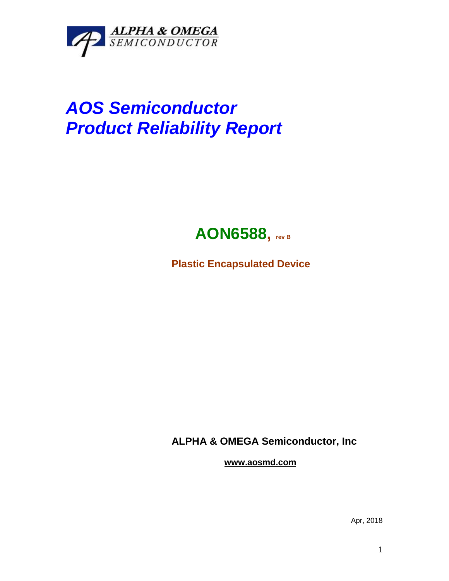

## *AOS Semiconductor Product Reliability Report*



**Plastic Encapsulated Device**

**ALPHA & OMEGA Semiconductor, Inc**

**www.aosmd.com**

Apr, 2018